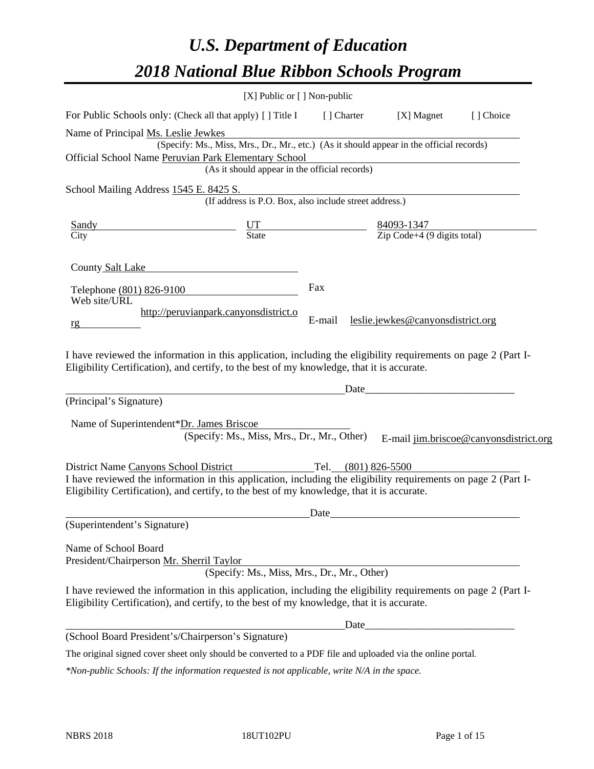# *U.S. Department of Education 2018 National Blue Ribbon Schools Program*

|                                                                                                                                                                                                                                         | $[X]$ Public or $[ ]$ Non-public                       |                     |                                                                                                                       |                                        |
|-----------------------------------------------------------------------------------------------------------------------------------------------------------------------------------------------------------------------------------------|--------------------------------------------------------|---------------------|-----------------------------------------------------------------------------------------------------------------------|----------------------------------------|
| For Public Schools only: (Check all that apply) [] Title I                                                                                                                                                                              |                                                        | [ ] Charter         | [X] Magnet                                                                                                            | [] Choice                              |
| Name of Principal Ms. Leslie Jewkes                                                                                                                                                                                                     |                                                        |                     |                                                                                                                       |                                        |
| (Specify: Ms., Miss, Mrs., Dr., Mr., etc.) (As it should appear in the official records)                                                                                                                                                |                                                        |                     |                                                                                                                       |                                        |
| Official School Name Peruvian Park Elementary School                                                                                                                                                                                    | (As it should appear in the official records)          |                     |                                                                                                                       |                                        |
|                                                                                                                                                                                                                                         |                                                        |                     |                                                                                                                       |                                        |
| School Mailing Address 1545 E. 8425 S.                                                                                                                                                                                                  | (If address is P.O. Box, also include street address.) |                     |                                                                                                                       |                                        |
| <b>Sandy</b>                                                                                                                                                                                                                            |                                                        |                     | 84093-1347                                                                                                            |                                        |
| City                                                                                                                                                                                                                                    | $rac{UT}{State}$                                       |                     | $\overline{Zip Code+4 (9 digits total)}$                                                                              |                                        |
| County Salt Lake<br>Telephone (801) 826-9100                                                                                                                                                                                            |                                                        | Fax                 |                                                                                                                       |                                        |
| Web site/URL<br>http://peruvianpark.canyonsdistrict.o<br>rg                                                                                                                                                                             |                                                        | E-mail              | leslie.jewkes@canyonsdistrict.org                                                                                     |                                        |
| I have reviewed the information in this application, including the eligibility requirements on page 2 (Part I-<br>Eligibility Certification), and certify, to the best of my knowledge, that it is accurate.<br>(Principal's Signature) |                                                        | Date                | <u> 1989 - Jan James James Barnett, martin de la populación de la propia de la propia de la propia de la propia d</u> |                                        |
|                                                                                                                                                                                                                                         |                                                        |                     |                                                                                                                       |                                        |
| Name of Superintendent*Dr. James Briscoe                                                                                                                                                                                                |                                                        |                     |                                                                                                                       |                                        |
|                                                                                                                                                                                                                                         | (Specify: Ms., Miss, Mrs., Dr., Mr., Other)            |                     |                                                                                                                       | E-mail jim.briscoe@canyonsdistrict.org |
| District Name Canyons School District                                                                                                                                                                                                   |                                                        | Tel. (801) 826-5500 |                                                                                                                       |                                        |
| I have reviewed the information in this application, including the eligibility requirements on page 2 (Part I-<br>Eligibility Certification), and certify, to the best of my knowledge, that it is accurate.                            |                                                        |                     |                                                                                                                       |                                        |
|                                                                                                                                                                                                                                         |                                                        | Date                |                                                                                                                       |                                        |
| (Superintendent's Signature)                                                                                                                                                                                                            |                                                        |                     |                                                                                                                       |                                        |
| Name of School Board<br>President/Chairperson Mr. Sherril Taylor                                                                                                                                                                        | (Specify: Ms., Miss, Mrs., Dr., Mr., Other)            |                     |                                                                                                                       |                                        |
| I have reviewed the information in this application, including the eligibility requirements on page 2 (Part I-<br>Eligibility Certification), and certify, to the best of my knowledge, that it is accurate.                            |                                                        |                     |                                                                                                                       |                                        |
|                                                                                                                                                                                                                                         |                                                        | Date                |                                                                                                                       |                                        |
| (School Board President's/Chairperson's Signature)                                                                                                                                                                                      |                                                        |                     |                                                                                                                       |                                        |
| The original signed cover sheet only should be converted to a PDF file and uploaded via the online portal.                                                                                                                              |                                                        |                     |                                                                                                                       |                                        |

*\*Non-public Schools: If the information requested is not applicable, write N/A in the space.*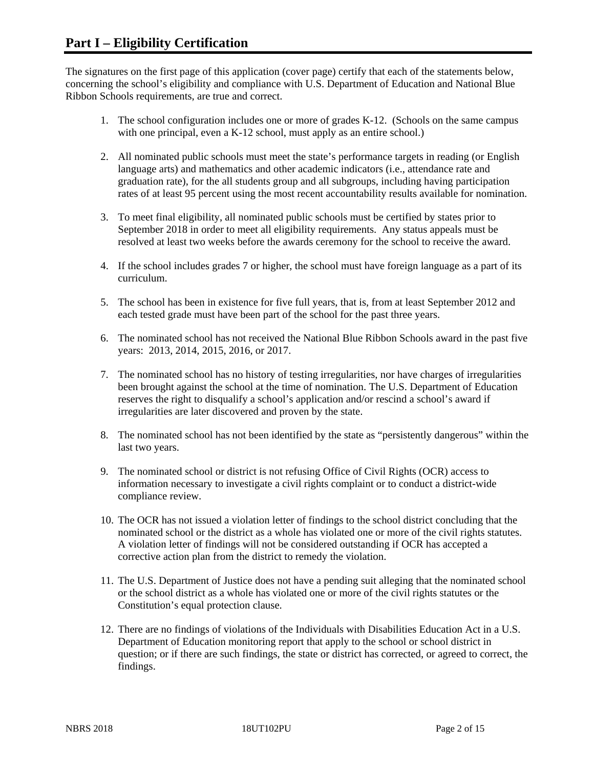The signatures on the first page of this application (cover page) certify that each of the statements below, concerning the school's eligibility and compliance with U.S. Department of Education and National Blue Ribbon Schools requirements, are true and correct.

- 1. The school configuration includes one or more of grades K-12. (Schools on the same campus with one principal, even a K-12 school, must apply as an entire school.)
- 2. All nominated public schools must meet the state's performance targets in reading (or English language arts) and mathematics and other academic indicators (i.e., attendance rate and graduation rate), for the all students group and all subgroups, including having participation rates of at least 95 percent using the most recent accountability results available for nomination.
- 3. To meet final eligibility, all nominated public schools must be certified by states prior to September 2018 in order to meet all eligibility requirements. Any status appeals must be resolved at least two weeks before the awards ceremony for the school to receive the award.
- 4. If the school includes grades 7 or higher, the school must have foreign language as a part of its curriculum.
- 5. The school has been in existence for five full years, that is, from at least September 2012 and each tested grade must have been part of the school for the past three years.
- 6. The nominated school has not received the National Blue Ribbon Schools award in the past five years: 2013, 2014, 2015, 2016, or 2017.
- 7. The nominated school has no history of testing irregularities, nor have charges of irregularities been brought against the school at the time of nomination. The U.S. Department of Education reserves the right to disqualify a school's application and/or rescind a school's award if irregularities are later discovered and proven by the state.
- 8. The nominated school has not been identified by the state as "persistently dangerous" within the last two years.
- 9. The nominated school or district is not refusing Office of Civil Rights (OCR) access to information necessary to investigate a civil rights complaint or to conduct a district-wide compliance review.
- 10. The OCR has not issued a violation letter of findings to the school district concluding that the nominated school or the district as a whole has violated one or more of the civil rights statutes. A violation letter of findings will not be considered outstanding if OCR has accepted a corrective action plan from the district to remedy the violation.
- 11. The U.S. Department of Justice does not have a pending suit alleging that the nominated school or the school district as a whole has violated one or more of the civil rights statutes or the Constitution's equal protection clause.
- 12. There are no findings of violations of the Individuals with Disabilities Education Act in a U.S. Department of Education monitoring report that apply to the school or school district in question; or if there are such findings, the state or district has corrected, or agreed to correct, the findings.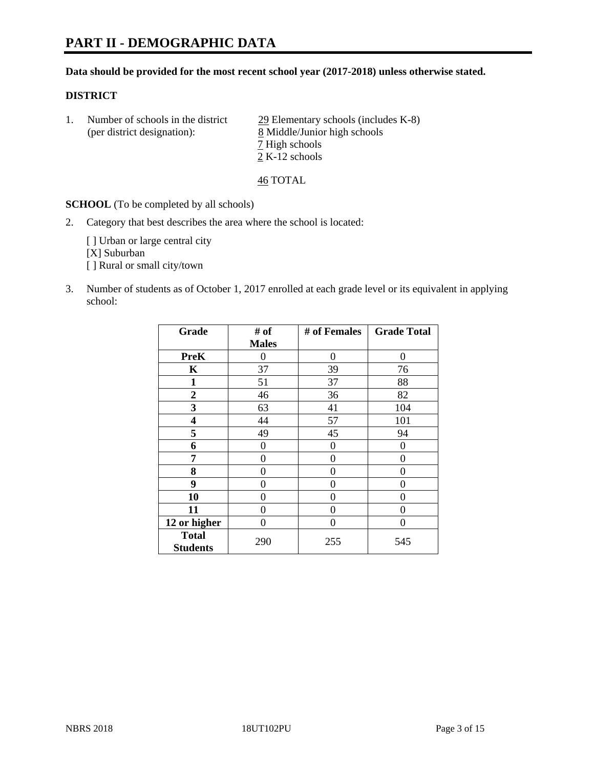# **PART II - DEMOGRAPHIC DATA**

#### **Data should be provided for the most recent school year (2017-2018) unless otherwise stated.**

#### **DISTRICT**

1. Number of schools in the district  $\frac{29}{2}$  Elementary schools (includes K-8) (per district designation): 8 Middle/Junior high schools 7 High schools 2 K-12 schools

46 TOTAL

**SCHOOL** (To be completed by all schools)

2. Category that best describes the area where the school is located:

[] Urban or large central city [X] Suburban [] Rural or small city/town

3. Number of students as of October 1, 2017 enrolled at each grade level or its equivalent in applying school:

| Grade                           | # of         | # of Females   | <b>Grade Total</b> |
|---------------------------------|--------------|----------------|--------------------|
|                                 | <b>Males</b> |                |                    |
| <b>PreK</b>                     | 0            | $\overline{0}$ | 0                  |
| $\mathbf K$                     | 37           | 39             | 76                 |
| 1                               | 51           | 37             | 88                 |
| $\overline{2}$                  | 46           | 36             | 82                 |
| 3                               | 63           | 41             | 104                |
| 4                               | 44           | 57             | 101                |
| 5                               | 49           | 45             | 94                 |
| 6                               | 0            | $\theta$       | 0                  |
| 7                               | 0            | 0              | 0                  |
| 8                               | 0            | $\theta$       | 0                  |
| 9                               | 0            | 0              | 0                  |
| 10                              | 0            | 0              | 0                  |
| 11                              | 0            | 0              | 0                  |
| 12 or higher                    | 0            | 0              | 0                  |
| <b>Total</b><br><b>Students</b> | 290          | 255            | 545                |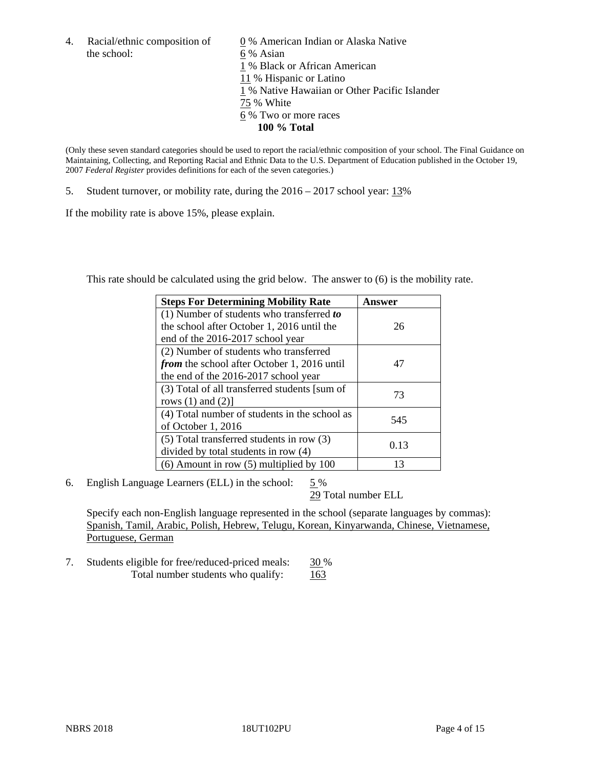the school: 6 % Asian

4. Racial/ethnic composition of  $\qquad 0\%$  American Indian or Alaska Native 1 % Black or African American 11 % Hispanic or Latino 1 % Native Hawaiian or Other Pacific Islander 75 % White 6 % Two or more races **100 % Total**

(Only these seven standard categories should be used to report the racial/ethnic composition of your school. The Final Guidance on Maintaining, Collecting, and Reporting Racial and Ethnic Data to the U.S. Department of Education published in the October 19, 2007 *Federal Register* provides definitions for each of the seven categories.)

5. Student turnover, or mobility rate, during the 2016 – 2017 school year: 13%

If the mobility rate is above 15%, please explain.

This rate should be calculated using the grid below. The answer to (6) is the mobility rate.

| <b>Steps For Determining Mobility Rate</b>         | Answer |
|----------------------------------------------------|--------|
| (1) Number of students who transferred to          |        |
| the school after October 1, 2016 until the         | 26     |
| end of the 2016-2017 school year                   |        |
| (2) Number of students who transferred             |        |
| <i>from</i> the school after October 1, 2016 until | 47     |
| the end of the 2016-2017 school year               |        |
| (3) Total of all transferred students [sum of      | 73     |
| rows $(1)$ and $(2)$ ]                             |        |
| (4) Total number of students in the school as      | 545    |
| of October 1, 2016                                 |        |
| (5) Total transferred students in row (3)          | 0.13   |
| divided by total students in row (4)               |        |
| $(6)$ Amount in row $(5)$ multiplied by 100        | 13     |

6. English Language Learners (ELL) in the school:  $5\%$ 

29 Total number ELL

Specify each non-English language represented in the school (separate languages by commas): Spanish, Tamil, Arabic, Polish, Hebrew, Telugu, Korean, Kinyarwanda, Chinese, Vietnamese, Portuguese, German

7. Students eligible for free/reduced-priced meals: 30 % Total number students who qualify: 163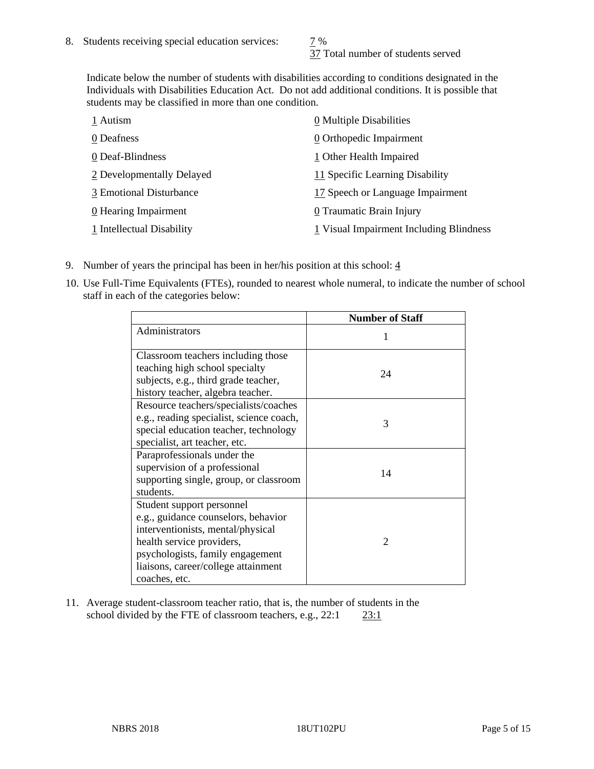37 Total number of students served

Indicate below the number of students with disabilities according to conditions designated in the Individuals with Disabilities Education Act. Do not add additional conditions. It is possible that students may be classified in more than one condition.

| 1 Autism                  | $\underline{0}$ Multiple Disabilities     |
|---------------------------|-------------------------------------------|
| 0 Deafness                | 0 Orthopedic Impairment                   |
| 0 Deaf-Blindness          | 1 Other Health Impaired                   |
| 2 Developmentally Delayed | 11 Specific Learning Disability           |
| 3 Emotional Disturbance   | 17 Speech or Language Impairment          |
| 0 Hearing Impairment      | 0 Traumatic Brain Injury                  |
| 1 Intellectual Disability | $1$ Visual Impairment Including Blindness |

- 9. Number of years the principal has been in her/his position at this school:  $\frac{4}{3}$
- 10. Use Full-Time Equivalents (FTEs), rounded to nearest whole numeral, to indicate the number of school staff in each of the categories below:

|                                                                                                                                                                                                                                | <b>Number of Staff</b>      |
|--------------------------------------------------------------------------------------------------------------------------------------------------------------------------------------------------------------------------------|-----------------------------|
| Administrators                                                                                                                                                                                                                 |                             |
| Classroom teachers including those<br>teaching high school specialty<br>subjects, e.g., third grade teacher,<br>history teacher, algebra teacher.                                                                              | 24                          |
| Resource teachers/specialists/coaches<br>e.g., reading specialist, science coach,<br>special education teacher, technology<br>specialist, art teacher, etc.                                                                    | 3                           |
| Paraprofessionals under the<br>supervision of a professional<br>supporting single, group, or classroom<br>students.                                                                                                            | 14                          |
| Student support personnel<br>e.g., guidance counselors, behavior<br>interventionists, mental/physical<br>health service providers,<br>psychologists, family engagement<br>liaisons, career/college attainment<br>coaches, etc. | $\mathcal{D}_{\mathcal{A}}$ |

11. Average student-classroom teacher ratio, that is, the number of students in the school divided by the FTE of classroom teachers, e.g., 22:1 23:1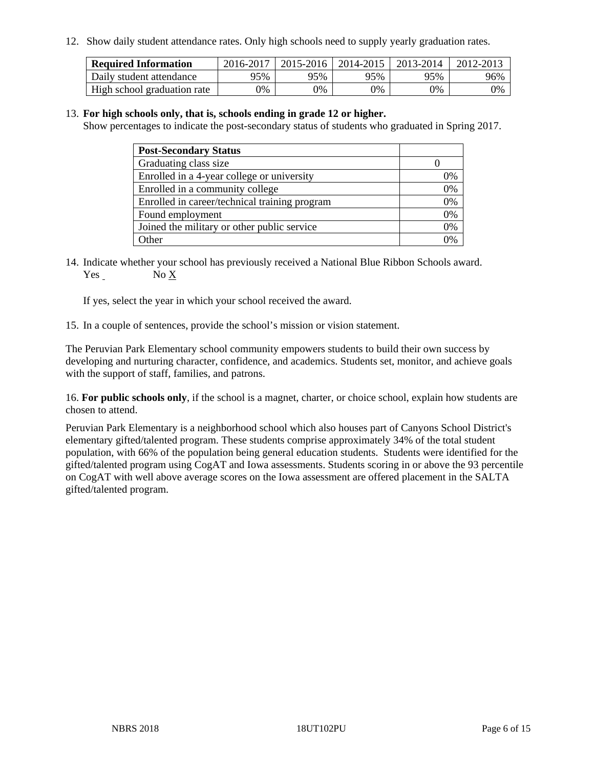12. Show daily student attendance rates. Only high schools need to supply yearly graduation rates.

| <b>Required Information</b> | 2016-2017 | 2015-2016 | 2014-2015 | 2013-2014 | 2012-2013 |
|-----------------------------|-----------|-----------|-----------|-----------|-----------|
| Daily student attendance    | 95%       | 95%       | 95%       | 95%       | 96%       |
| High school graduation rate | 0%        | 0%        | 0%        | 0%        | 0%        |

#### 13. **For high schools only, that is, schools ending in grade 12 or higher.**

Show percentages to indicate the post-secondary status of students who graduated in Spring 2017.

| <b>Post-Secondary Status</b>                  |    |
|-----------------------------------------------|----|
| Graduating class size                         |    |
| Enrolled in a 4-year college or university    | 0% |
| Enrolled in a community college               | 0% |
| Enrolled in career/technical training program | 0% |
| Found employment                              | 0% |
| Joined the military or other public service   | 0% |
| Other                                         |    |

14. Indicate whether your school has previously received a National Blue Ribbon Schools award. Yes No X

If yes, select the year in which your school received the award.

15. In a couple of sentences, provide the school's mission or vision statement.

The Peruvian Park Elementary school community empowers students to build their own success by developing and nurturing character, confidence, and academics. Students set, monitor, and achieve goals with the support of staff, families, and patrons.

16. **For public schools only**, if the school is a magnet, charter, or choice school, explain how students are chosen to attend.

Peruvian Park Elementary is a neighborhood school which also houses part of Canyons School District's elementary gifted/talented program. These students comprise approximately 34% of the total student population, with 66% of the population being general education students. Students were identified for the gifted/talented program using CogAT and Iowa assessments. Students scoring in or above the 93 percentile on CogAT with well above average scores on the Iowa assessment are offered placement in the SALTA gifted/talented program.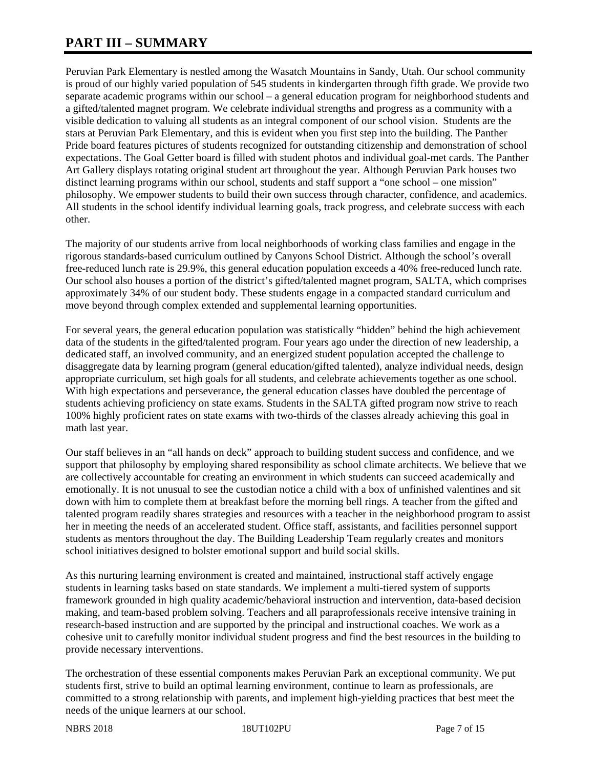# **PART III – SUMMARY**

Peruvian Park Elementary is nestled among the Wasatch Mountains in Sandy, Utah. Our school community is proud of our highly varied population of 545 students in kindergarten through fifth grade. We provide two separate academic programs within our school – a general education program for neighborhood students and a gifted/talented magnet program. We celebrate individual strengths and progress as a community with a visible dedication to valuing all students as an integral component of our school vision. Students are the stars at Peruvian Park Elementary, and this is evident when you first step into the building. The Panther Pride board features pictures of students recognized for outstanding citizenship and demonstration of school expectations. The Goal Getter board is filled with student photos and individual goal-met cards. The Panther Art Gallery displays rotating original student art throughout the year. Although Peruvian Park houses two distinct learning programs within our school, students and staff support a "one school – one mission" philosophy. We empower students to build their own success through character, confidence, and academics. All students in the school identify individual learning goals, track progress, and celebrate success with each other.

The majority of our students arrive from local neighborhoods of working class families and engage in the rigorous standards-based curriculum outlined by Canyons School District. Although the school's overall free-reduced lunch rate is 29.9%, this general education population exceeds a 40% free-reduced lunch rate. Our school also houses a portion of the district's gifted/talented magnet program, SALTA, which comprises approximately 34% of our student body. These students engage in a compacted standard curriculum and move beyond through complex extended and supplemental learning opportunities.

For several years, the general education population was statistically "hidden" behind the high achievement data of the students in the gifted/talented program. Four years ago under the direction of new leadership, a dedicated staff, an involved community, and an energized student population accepted the challenge to disaggregate data by learning program (general education/gifted talented), analyze individual needs, design appropriate curriculum, set high goals for all students, and celebrate achievements together as one school. With high expectations and perseverance, the general education classes have doubled the percentage of students achieving proficiency on state exams. Students in the SALTA gifted program now strive to reach 100% highly proficient rates on state exams with two-thirds of the classes already achieving this goal in math last year.

Our staff believes in an "all hands on deck" approach to building student success and confidence, and we support that philosophy by employing shared responsibility as school climate architects. We believe that we are collectively accountable for creating an environment in which students can succeed academically and emotionally. It is not unusual to see the custodian notice a child with a box of unfinished valentines and sit down with him to complete them at breakfast before the morning bell rings. A teacher from the gifted and talented program readily shares strategies and resources with a teacher in the neighborhood program to assist her in meeting the needs of an accelerated student. Office staff, assistants, and facilities personnel support students as mentors throughout the day. The Building Leadership Team regularly creates and monitors school initiatives designed to bolster emotional support and build social skills.

As this nurturing learning environment is created and maintained, instructional staff actively engage students in learning tasks based on state standards. We implement a multi-tiered system of supports framework grounded in high quality academic/behavioral instruction and intervention, data-based decision making, and team-based problem solving. Teachers and all paraprofessionals receive intensive training in research-based instruction and are supported by the principal and instructional coaches. We work as a cohesive unit to carefully monitor individual student progress and find the best resources in the building to provide necessary interventions.

The orchestration of these essential components makes Peruvian Park an exceptional community. We put students first, strive to build an optimal learning environment, continue to learn as professionals, are committed to a strong relationship with parents, and implement high-yielding practices that best meet the needs of the unique learners at our school.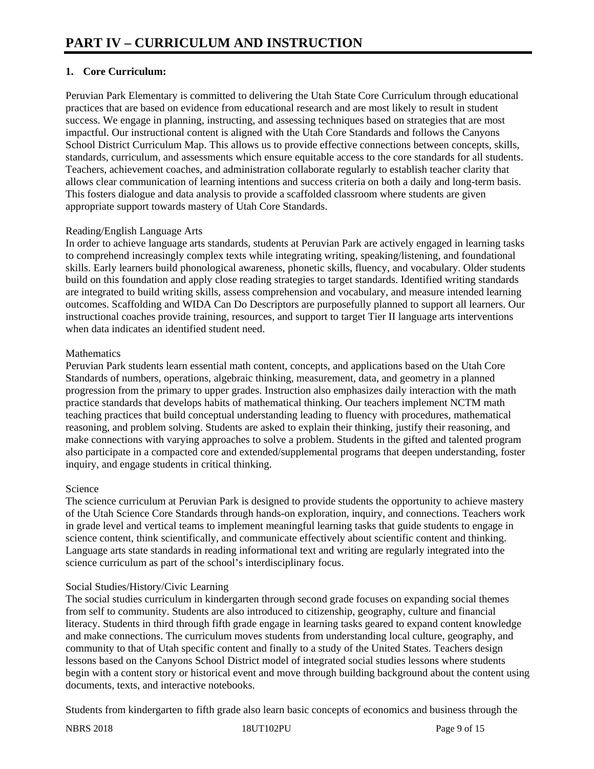## **1. Core Curriculum:**

Peruvian Park Elementary is committed to delivering the Utah State Core Curriculum through educational practices that are based on evidence from educational research and are most likely to result in student success. We engage in planning, instructing, and assessing techniques based on strategies that are most impactful. Our instructional content is aligned with the Utah Core Standards and follows the Canyons School District Curriculum Map. This allows us to provide effective connections between concepts, skills, standards, curriculum, and assessments which ensure equitable access to the core standards for all students. Teachers, achievement coaches, and administration collaborate regularly to establish teacher clarity that allows clear communication of learning intentions and success criteria on both a daily and long-term basis. This fosters dialogue and data analysis to provide a scaffolded classroom where students are given appropriate support towards mastery of Utah Core Standards.

#### Reading/English Language Arts

In order to achieve language arts standards, students at Peruvian Park are actively engaged in learning tasks to comprehend increasingly complex texts while integrating writing, speaking/listening, and foundational skills. Early learners build phonological awareness, phonetic skills, fluency, and vocabulary. Older students build on this foundation and apply close reading strategies to target standards. Identified writing standards are integrated to build writing skills, assess comprehension and vocabulary, and measure intended learning outcomes. Scaffolding and WIDA Can Do Descriptors are purposefully planned to support all learners. Our instructional coaches provide training, resources, and support to target Tier II language arts interventions when data indicates an identified student need.

#### **Mathematics**

Peruvian Park students learn essential math content, concepts, and applications based on the Utah Core Standards of numbers, operations, algebraic thinking, measurement, data, and geometry in a planned progression from the primary to upper grades. Instruction also emphasizes daily interaction with the math practice standards that develops habits of mathematical thinking. Our teachers implement NCTM math teaching practices that build conceptual understanding leading to fluency with procedures, mathematical reasoning, and problem solving. Students are asked to explain their thinking, justify their reasoning, and make connections with varying approaches to solve a problem. Students in the gifted and talented program also participate in a compacted core and extended/supplemental programs that deepen understanding, foster inquiry, and engage students in critical thinking.

#### Science

The science curriculum at Peruvian Park is designed to provide students the opportunity to achieve mastery of the Utah Science Core Standards through hands-on exploration, inquiry, and connections. Teachers work in grade level and vertical teams to implement meaningful learning tasks that guide students to engage in science content, think scientifically, and communicate effectively about scientific content and thinking. Language arts state standards in reading informational text and writing are regularly integrated into the science curriculum as part of the school's interdisciplinary focus.

## Social Studies/History/Civic Learning

The social studies curriculum in kindergarten through second grade focuses on expanding social themes from self to community. Students are also introduced to citizenship, geography, culture and financial literacy. Students in third through fifth grade engage in learning tasks geared to expand content knowledge and make connections. The curriculum moves students from understanding local culture, geography, and community to that of Utah specific content and finally to a study of the United States. Teachers design lessons based on the Canyons School District model of integrated social studies lessons where students begin with a content story or historical event and move through building background about the content using documents, texts, and interactive notebooks.

Students from kindergarten to fifth grade also learn basic concepts of economics and business through the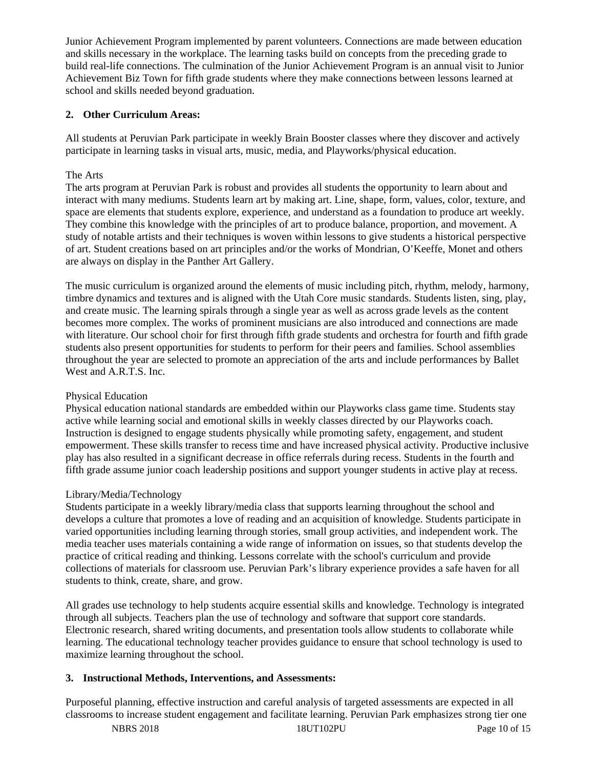Junior Achievement Program implemented by parent volunteers. Connections are made between education and skills necessary in the workplace. The learning tasks build on concepts from the preceding grade to build real-life connections. The culmination of the Junior Achievement Program is an annual visit to Junior Achievement Biz Town for fifth grade students where they make connections between lessons learned at school and skills needed beyond graduation.

## **2. Other Curriculum Areas:**

All students at Peruvian Park participate in weekly Brain Booster classes where they discover and actively participate in learning tasks in visual arts, music, media, and Playworks/physical education.

#### The Arts

The arts program at Peruvian Park is robust and provides all students the opportunity to learn about and interact with many mediums. Students learn art by making art. Line, shape, form, values, color, texture, and space are elements that students explore, experience, and understand as a foundation to produce art weekly. They combine this knowledge with the principles of art to produce balance, proportion, and movement. A study of notable artists and their techniques is woven within lessons to give students a historical perspective of art. Student creations based on art principles and/or the works of Mondrian, O'Keeffe, Monet and others are always on display in the Panther Art Gallery.

The music curriculum is organized around the elements of music including pitch, rhythm, melody, harmony, timbre dynamics and textures and is aligned with the Utah Core music standards. Students listen, sing, play, and create music. The learning spirals through a single year as well as across grade levels as the content becomes more complex. The works of prominent musicians are also introduced and connections are made with literature. Our school choir for first through fifth grade students and orchestra for fourth and fifth grade students also present opportunities for students to perform for their peers and families. School assemblies throughout the year are selected to promote an appreciation of the arts and include performances by Ballet West and A.R.T.S. Inc.

## Physical Education

Physical education national standards are embedded within our Playworks class game time. Students stay active while learning social and emotional skills in weekly classes directed by our Playworks coach. Instruction is designed to engage students physically while promoting safety, engagement, and student empowerment. These skills transfer to recess time and have increased physical activity. Productive inclusive play has also resulted in a significant decrease in office referrals during recess. Students in the fourth and fifth grade assume junior coach leadership positions and support younger students in active play at recess.

## Library/Media/Technology

Students participate in a weekly library/media class that supports learning throughout the school and develops a culture that promotes a love of reading and an acquisition of knowledge. Students participate in varied opportunities including learning through stories, small group activities, and independent work. The media teacher uses materials containing a wide range of information on issues, so that students develop the practice of critical reading and thinking. Lessons correlate with the school's curriculum and provide collections of materials for classroom use. Peruvian Park's library experience provides a safe haven for all students to think, create, share, and grow.

All grades use technology to help students acquire essential skills and knowledge. Technology is integrated through all subjects. Teachers plan the use of technology and software that support core standards. Electronic research, shared writing documents, and presentation tools allow students to collaborate while learning. The educational technology teacher provides guidance to ensure that school technology is used to maximize learning throughout the school.

## **3. Instructional Methods, Interventions, and Assessments:**

Purposeful planning, effective instruction and careful analysis of targeted assessments are expected in all classrooms to increase student engagement and facilitate learning. Peruvian Park emphasizes strong tier one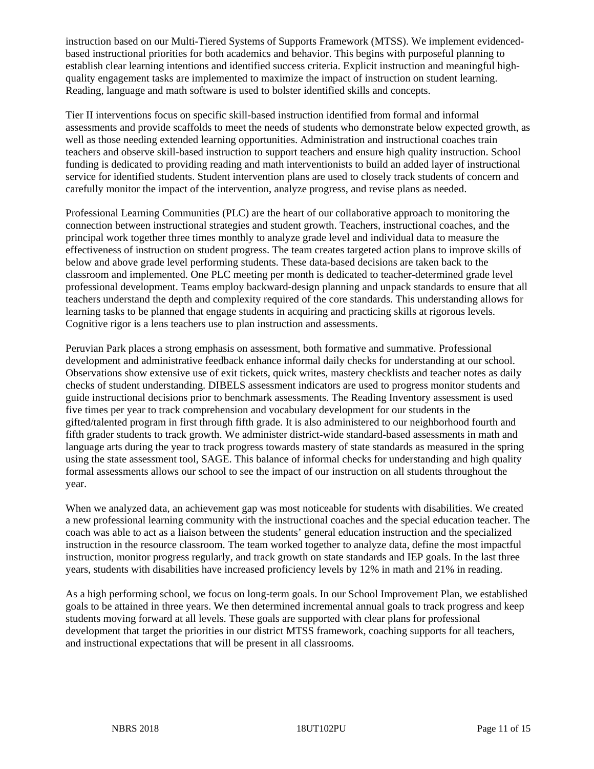instruction based on our Multi-Tiered Systems of Supports Framework (MTSS). We implement evidencedbased instructional priorities for both academics and behavior. This begins with purposeful planning to establish clear learning intentions and identified success criteria. Explicit instruction and meaningful highquality engagement tasks are implemented to maximize the impact of instruction on student learning. Reading, language and math software is used to bolster identified skills and concepts.

Tier II interventions focus on specific skill-based instruction identified from formal and informal assessments and provide scaffolds to meet the needs of students who demonstrate below expected growth, as well as those needing extended learning opportunities. Administration and instructional coaches train teachers and observe skill-based instruction to support teachers and ensure high quality instruction. School funding is dedicated to providing reading and math interventionists to build an added layer of instructional service for identified students. Student intervention plans are used to closely track students of concern and carefully monitor the impact of the intervention, analyze progress, and revise plans as needed.

Professional Learning Communities (PLC) are the heart of our collaborative approach to monitoring the connection between instructional strategies and student growth. Teachers, instructional coaches, and the principal work together three times monthly to analyze grade level and individual data to measure the effectiveness of instruction on student progress. The team creates targeted action plans to improve skills of below and above grade level performing students. These data-based decisions are taken back to the classroom and implemented. One PLC meeting per month is dedicated to teacher-determined grade level professional development. Teams employ backward-design planning and unpack standards to ensure that all teachers understand the depth and complexity required of the core standards. This understanding allows for learning tasks to be planned that engage students in acquiring and practicing skills at rigorous levels. Cognitive rigor is a lens teachers use to plan instruction and assessments.

Peruvian Park places a strong emphasis on assessment, both formative and summative. Professional development and administrative feedback enhance informal daily checks for understanding at our school. Observations show extensive use of exit tickets, quick writes, mastery checklists and teacher notes as daily checks of student understanding. DIBELS assessment indicators are used to progress monitor students and guide instructional decisions prior to benchmark assessments. The Reading Inventory assessment is used five times per year to track comprehension and vocabulary development for our students in the gifted/talented program in first through fifth grade. It is also administered to our neighborhood fourth and fifth grader students to track growth. We administer district-wide standard-based assessments in math and language arts during the year to track progress towards mastery of state standards as measured in the spring using the state assessment tool, SAGE. This balance of informal checks for understanding and high quality formal assessments allows our school to see the impact of our instruction on all students throughout the year.

When we analyzed data, an achievement gap was most noticeable for students with disabilities. We created a new professional learning community with the instructional coaches and the special education teacher. The coach was able to act as a liaison between the students' general education instruction and the specialized instruction in the resource classroom. The team worked together to analyze data, define the most impactful instruction, monitor progress regularly, and track growth on state standards and IEP goals. In the last three years, students with disabilities have increased proficiency levels by 12% in math and 21% in reading.

As a high performing school, we focus on long-term goals. In our School Improvement Plan, we established goals to be attained in three years. We then determined incremental annual goals to track progress and keep students moving forward at all levels. These goals are supported with clear plans for professional development that target the priorities in our district MTSS framework, coaching supports for all teachers, and instructional expectations that will be present in all classrooms.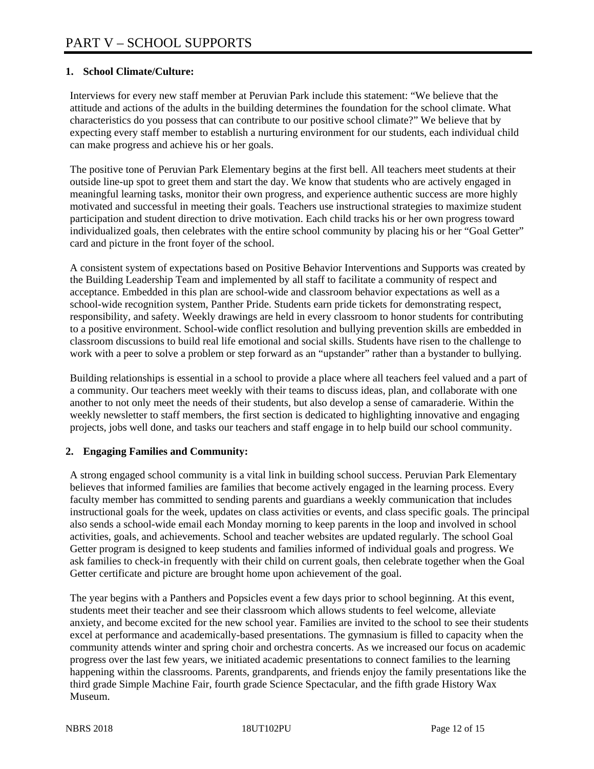#### **1. School Climate/Culture:**

Interviews for every new staff member at Peruvian Park include this statement: "We believe that the attitude and actions of the adults in the building determines the foundation for the school climate. What characteristics do you possess that can contribute to our positive school climate?" We believe that by expecting every staff member to establish a nurturing environment for our students, each individual child can make progress and achieve his or her goals.

The positive tone of Peruvian Park Elementary begins at the first bell. All teachers meet students at their outside line-up spot to greet them and start the day. We know that students who are actively engaged in meaningful learning tasks, monitor their own progress, and experience authentic success are more highly motivated and successful in meeting their goals. Teachers use instructional strategies to maximize student participation and student direction to drive motivation. Each child tracks his or her own progress toward individualized goals, then celebrates with the entire school community by placing his or her "Goal Getter" card and picture in the front foyer of the school.

A consistent system of expectations based on Positive Behavior Interventions and Supports was created by the Building Leadership Team and implemented by all staff to facilitate a community of respect and acceptance. Embedded in this plan are school-wide and classroom behavior expectations as well as a school-wide recognition system, Panther Pride. Students earn pride tickets for demonstrating respect, responsibility, and safety. Weekly drawings are held in every classroom to honor students for contributing to a positive environment. School-wide conflict resolution and bullying prevention skills are embedded in classroom discussions to build real life emotional and social skills. Students have risen to the challenge to work with a peer to solve a problem or step forward as an "upstander" rather than a bystander to bullying.

Building relationships is essential in a school to provide a place where all teachers feel valued and a part of a community. Our teachers meet weekly with their teams to discuss ideas, plan, and collaborate with one another to not only meet the needs of their students, but also develop a sense of camaraderie. Within the weekly newsletter to staff members, the first section is dedicated to highlighting innovative and engaging projects, jobs well done, and tasks our teachers and staff engage in to help build our school community.

#### **2. Engaging Families and Community:**

A strong engaged school community is a vital link in building school success. Peruvian Park Elementary believes that informed families are families that become actively engaged in the learning process. Every faculty member has committed to sending parents and guardians a weekly communication that includes instructional goals for the week, updates on class activities or events, and class specific goals. The principal also sends a school-wide email each Monday morning to keep parents in the loop and involved in school activities, goals, and achievements. School and teacher websites are updated regularly. The school Goal Getter program is designed to keep students and families informed of individual goals and progress. We ask families to check-in frequently with their child on current goals, then celebrate together when the Goal Getter certificate and picture are brought home upon achievement of the goal.

The year begins with a Panthers and Popsicles event a few days prior to school beginning. At this event, students meet their teacher and see their classroom which allows students to feel welcome, alleviate anxiety, and become excited for the new school year. Families are invited to the school to see their students excel at performance and academically-based presentations. The gymnasium is filled to capacity when the community attends winter and spring choir and orchestra concerts. As we increased our focus on academic progress over the last few years, we initiated academic presentations to connect families to the learning happening within the classrooms. Parents, grandparents, and friends enjoy the family presentations like the third grade Simple Machine Fair, fourth grade Science Spectacular, and the fifth grade History Wax Museum.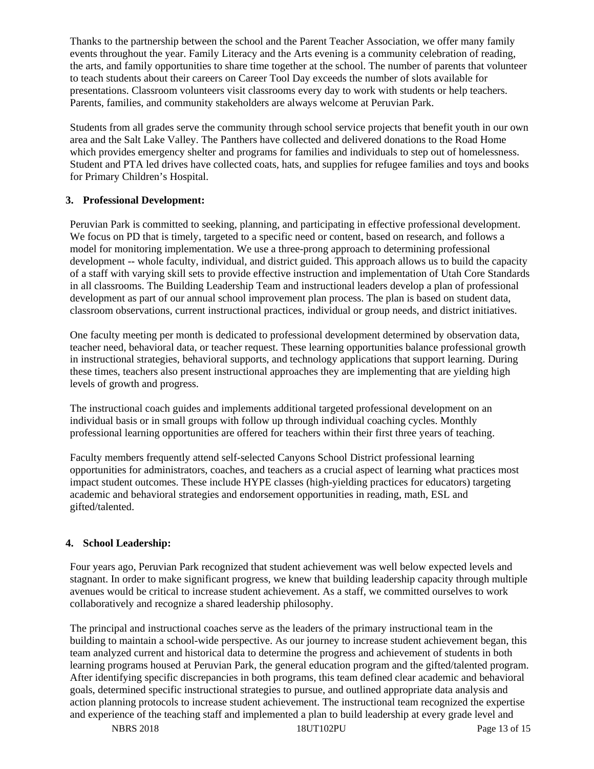Thanks to the partnership between the school and the Parent Teacher Association, we offer many family events throughout the year. Family Literacy and the Arts evening is a community celebration of reading, the arts, and family opportunities to share time together at the school. The number of parents that volunteer to teach students about their careers on Career Tool Day exceeds the number of slots available for presentations. Classroom volunteers visit classrooms every day to work with students or help teachers. Parents, families, and community stakeholders are always welcome at Peruvian Park.

Students from all grades serve the community through school service projects that benefit youth in our own area and the Salt Lake Valley. The Panthers have collected and delivered donations to the Road Home which provides emergency shelter and programs for families and individuals to step out of homelessness. Student and PTA led drives have collected coats, hats, and supplies for refugee families and toys and books for Primary Children's Hospital.

## **3. Professional Development:**

Peruvian Park is committed to seeking, planning, and participating in effective professional development. We focus on PD that is timely, targeted to a specific need or content, based on research, and follows a model for monitoring implementation. We use a three-prong approach to determining professional development -- whole faculty, individual, and district guided. This approach allows us to build the capacity of a staff with varying skill sets to provide effective instruction and implementation of Utah Core Standards in all classrooms. The Building Leadership Team and instructional leaders develop a plan of professional development as part of our annual school improvement plan process. The plan is based on student data, classroom observations, current instructional practices, individual or group needs, and district initiatives.

One faculty meeting per month is dedicated to professional development determined by observation data, teacher need, behavioral data, or teacher request. These learning opportunities balance professional growth in instructional strategies, behavioral supports, and technology applications that support learning. During these times, teachers also present instructional approaches they are implementing that are yielding high levels of growth and progress.

The instructional coach guides and implements additional targeted professional development on an individual basis or in small groups with follow up through individual coaching cycles. Monthly professional learning opportunities are offered for teachers within their first three years of teaching.

Faculty members frequently attend self-selected Canyons School District professional learning opportunities for administrators, coaches, and teachers as a crucial aspect of learning what practices most impact student outcomes. These include HYPE classes (high-yielding practices for educators) targeting academic and behavioral strategies and endorsement opportunities in reading, math, ESL and gifted/talented.

# **4. School Leadership:**

Four years ago, Peruvian Park recognized that student achievement was well below expected levels and stagnant. In order to make significant progress, we knew that building leadership capacity through multiple avenues would be critical to increase student achievement. As a staff, we committed ourselves to work collaboratively and recognize a shared leadership philosophy.

The principal and instructional coaches serve as the leaders of the primary instructional team in the building to maintain a school-wide perspective. As our journey to increase student achievement began, this team analyzed current and historical data to determine the progress and achievement of students in both learning programs housed at Peruvian Park, the general education program and the gifted/talented program. After identifying specific discrepancies in both programs, this team defined clear academic and behavioral goals, determined specific instructional strategies to pursue, and outlined appropriate data analysis and action planning protocols to increase student achievement. The instructional team recognized the expertise and experience of the teaching staff and implemented a plan to build leadership at every grade level and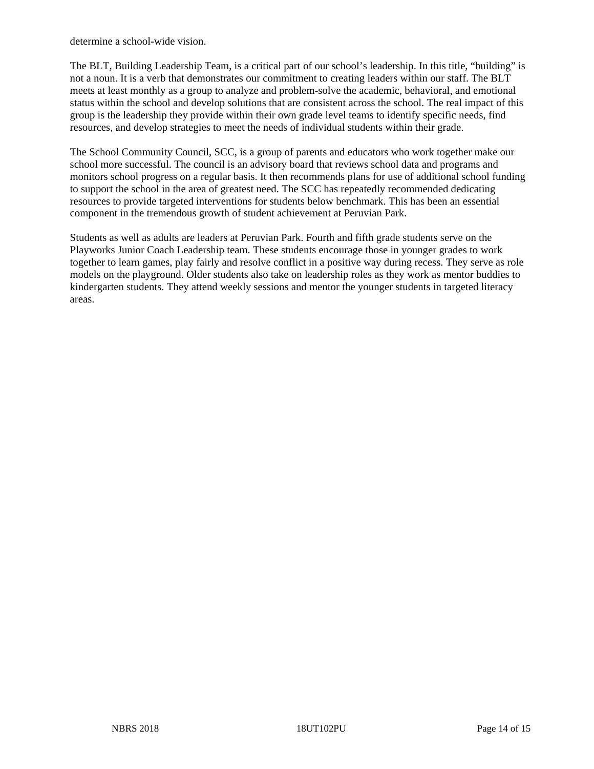determine a school-wide vision.

The BLT, Building Leadership Team, is a critical part of our school's leadership. In this title, "building" is not a noun. It is a verb that demonstrates our commitment to creating leaders within our staff. The BLT meets at least monthly as a group to analyze and problem-solve the academic, behavioral, and emotional status within the school and develop solutions that are consistent across the school. The real impact of this group is the leadership they provide within their own grade level teams to identify specific needs, find resources, and develop strategies to meet the needs of individual students within their grade.

The School Community Council, SCC, is a group of parents and educators who work together make our school more successful. The council is an advisory board that reviews school data and programs and monitors school progress on a regular basis. It then recommends plans for use of additional school funding to support the school in the area of greatest need. The SCC has repeatedly recommended dedicating resources to provide targeted interventions for students below benchmark. This has been an essential component in the tremendous growth of student achievement at Peruvian Park.

Students as well as adults are leaders at Peruvian Park. Fourth and fifth grade students serve on the Playworks Junior Coach Leadership team. These students encourage those in younger grades to work together to learn games, play fairly and resolve conflict in a positive way during recess. They serve as role models on the playground. Older students also take on leadership roles as they work as mentor buddies to kindergarten students. They attend weekly sessions and mentor the younger students in targeted literacy areas.